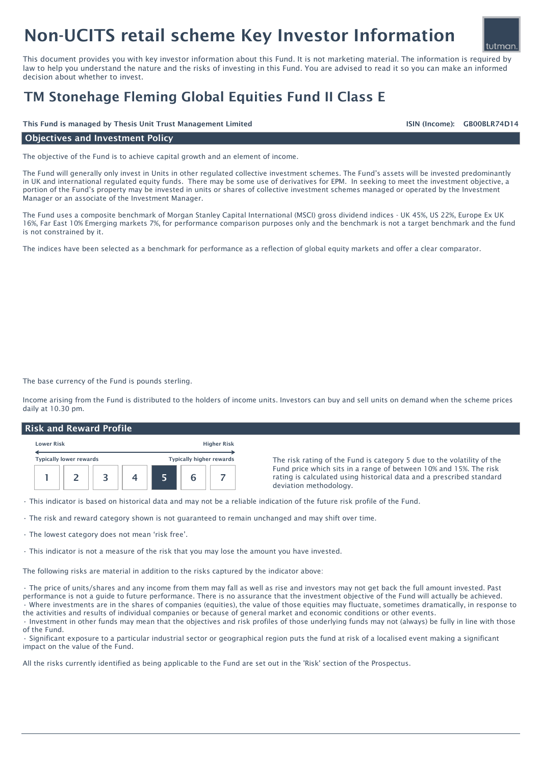# Non-UCITS retail scheme Key Investor Information

This document provides you with key investor information about this Fund. It is not marketing material. The information is required by law to help you understand the nature and the risks of investing in this Fund. You are advised to read it so you can make an informed decision about whether to invest.

## TM Stonehage Fleming Global Equities Fund II Class E

This Fund is managed by Thesis Unit Trust Management Limited GB00BLR74D14

ISIN (Income):

tutman

#### Objectives and Investment Policy

The objective of the Fund is to achieve capital growth and an element of income.

The Fund will generally only invest in Units in other regulated collective investment schemes. The Fund's assets will be invested predominantly in UK and international regulated equity funds. There may be some use of derivatives for EPM. In seeking to meet the investment objective, a portion of the Fund's property may be invested in units or shares of collective investment schemes managed or operated by the Investment Manager or an associate of the Investment Manager.

The Fund uses a composite benchmark of Morgan Stanley Capital International (MSCI) gross dividend indices - UK 45%, US 22%, Europe Ex UK 16%, Far East 10% Emerging markets 7%, for performance comparison purposes only and the benchmark is not a target benchmark and the fund is not constrained by it.

The indices have been selected as a benchmark for performance as a reflection of global equity markets and offer a clear comparator.

The base currency of the Fund is pounds sterling.

Income arising from the Fund is distributed to the holders of income units. Investors can buy and sell units on demand when the scheme prices daily at 10.30 pm.

#### Risk and Reward Profile

| <b>Lower Risk</b>              |  |  | <b>Higher Risk</b> |                                 |  |  |
|--------------------------------|--|--|--------------------|---------------------------------|--|--|
| <b>Typically lower rewards</b> |  |  |                    | <b>Typically higher rewards</b> |  |  |
|                                |  |  |                    |                                 |  |  |

The risk rating of the Fund is category 5 due to the volatility of the Fund price which sits in a range of between 10% and 15%. The risk rating is calculated using historical data and a prescribed standard deviation methodology.

• This indicator is based on historical data and may not be a reliable indication of the future risk profile of the Fund.

• The risk and reward category shown is not guaranteed to remain unchanged and may shift over time.

• The lowest category does not mean 'risk free'.

• This indicator is not a measure of the risk that you may lose the amount you have invested.

The following risks are material in addition to the risks captured by the indicator above:

• The price of units/shares and any income from them may fall as well as rise and investors may not get back the full amount invested. Past performance is not a guide to future performance. There is no assurance that the investment objective of the Fund will actually be achieved. • Where investments are in the shares of companies (equities), the value of those equities may fluctuate, sometimes dramatically, in response to the activities and results of individual companies or because of general market and economic conditions or other events.

• Investment in other funds may mean that the objectives and risk profiles of those underlying funds may not (always) be fully in line with those of the Fund.

• Significant exposure to a particular industrial sector or geographical region puts the fund at risk of a localised event making a significant impact on the value of the Fund.

All the risks currently identified as being applicable to the Fund are set out in the 'Risk' section of the Prospectus.